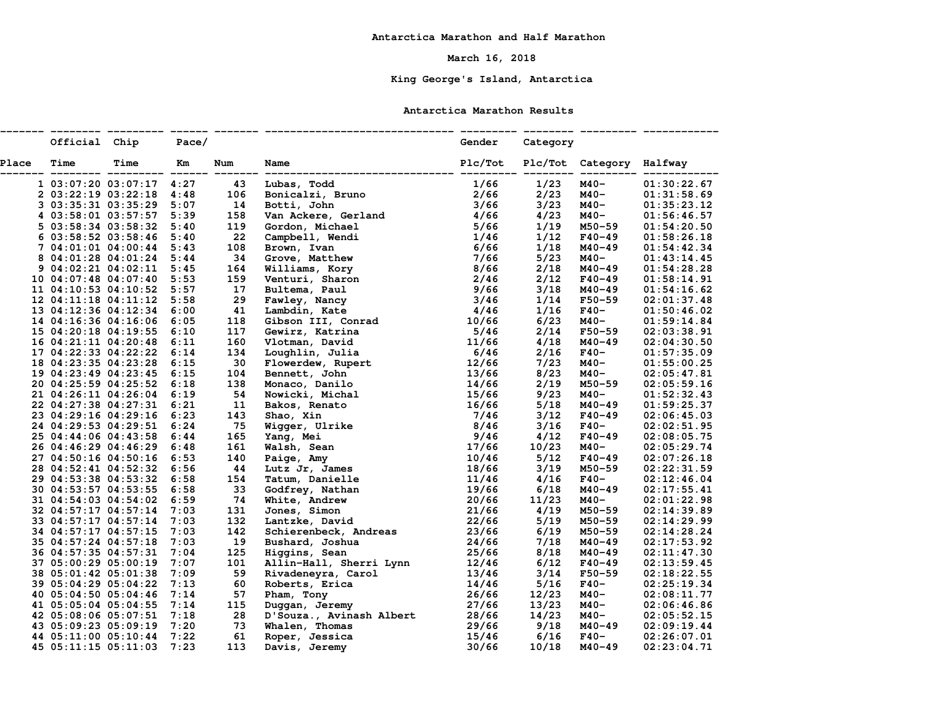## **March 16, 2018**

# **King George's Island, Antarctica**

#### **Antarctica Marathon Results**

|              | Official Chip        |                                   | Pace/ |      |                                               | Gender  | Category |                          |             |
|--------------|----------------------|-----------------------------------|-------|------|-----------------------------------------------|---------|----------|--------------------------|-------------|
| <b>Place</b> | Time                 | Time                              | Km    | Num  | Name                                          | Plc/Tot |          | Plc/Tot Category Halfway |             |
|              |                      | 1 03:07:20 03:07:17 4:27          |       | 43   | Lubas, Todd                                   | 1/66    | 1/23     | M40-                     | 01:30:22.67 |
|              |                      | 2 03:22:19 03:22:18 4:48          |       | 106  | Bonicalzi, Bruno                              | 2/66    | 2/23     | M40-                     | 01:31:58.69 |
|              |                      | 3 03:35:31 03:35:29 5:07          |       | 14   | Botti, John                                   | 3/66    | 3/23     | M40-                     | 01:35:23.12 |
|              |                      | 4 03:58:01 03:57:57 5:39          |       | 158  | Van Ackere, Gerland                           | 4/66    | 4/23     | M40-                     | 01:56:46.57 |
|              |                      | 5 03:58:34 03:58:32 5:40          |       | 119  | Gordon, Michael                               | 5/66    | 1/19     | M50-59                   | 01:54:20.50 |
|              |                      | 6 03:58:52 03:58:46 5:40          |       | 22   | Campbell, Wendi                               | 1/46    | 1/12     | $F40 - 49$               | 01:58:26.18 |
|              |                      | 7 04:01:01 04:00:44 5:43          |       | 108  | Brown, Ivan                                   | 6/66    | 1/18     | M40-49                   | 01:54:42.34 |
|              |                      | 8 04:01:28 04:01:24 5:44          |       | 34   | Grove, Matthew                                | 7/66    | 5/23     | M40-                     | 01:43:14.45 |
|              |                      | $9\ 04:02:21\ 04:02:11\ 5:45$     |       | 164  |                                               | 8/66    | 2/18     | M40-49                   | 01:54:28.28 |
|              |                      | 10 04:07:48 04:07:40 5:53         |       | 159  | Williams, Kory<br>Venturi, Sharon             | 2/46    | 2/12     | $F40 - 49$               | 01:58:14.91 |
|              |                      | 11 04:10:53 04:10:52 5:57         |       | 17   | Bultema, Paul                                 | 9/66    | 3/18     | M40-49                   | 01:54:16.62 |
|              |                      | $12 \t04:11:18 \t04:11:12 \t5:58$ |       | 29   | Fawley, Nancy                                 | 3/46    | 1/14     | $F50 - 59$               | 02:01:37.48 |
|              |                      | 13 04:12:36 04:12:34 6:00         |       | 41   | Lambdin, Kate                                 | 4/46    | 1/16     | $F40-$                   | 01:50:46.02 |
|              |                      | 14 04:16:36 04:16:06 6:05         |       | 118  | Gibson III, Conrad                            | 10/66   | 6/23     | M40-                     | 01:59:14.84 |
|              |                      | 15 04:20:18 04:19:55 6:10         |       | 117  | Gewirz, Katrina                               | 5/46    | 2/14     | $F50 - 59$               | 02:03:38.91 |
|              |                      | 16 04:21:11 04:20:48              | 6:11  | 160  | Vlotman, David                                | 11/66   | 4/18     | M40-49                   | 02:04:30.50 |
|              |                      | 17 04:22:33 04:22:22 6:14         |       | 134  | Loughlin, Julia                               | 6/46    | 2/16     | $F40-$                   | 01:57:35.09 |
|              |                      | 18 04:23:35 04:23:28              | 6:15  | 30   | Flowerdew, Rupert                             | 12/66   | 7/23     | M40-                     | 01:55:00.25 |
|              |                      | 19 04:23:49 04:23:45 6:15         |       | 104  | Bennett, John                                 | 13/66   | 8/23     | M40-                     | 02:05:47.81 |
|              |                      | 20 04:25:59 04:25:52              | 6:18  | 138  | Monaco, Danilo                                | 14/66   | 2/19     | M50-59                   | 02:05:59.16 |
|              |                      | 21 04:26:11 04:26:04 6:19         |       | 54   |                                               | 15/66   | 9/23     | M40-                     | 01:52:32.43 |
|              |                      | 22 04:27:38 04:27:31 6:21         |       | 11   | Nowicki, Michal<br>Bakos, Renato              | 16/66   | 5/18     | M40-49                   | 01:59:25.37 |
|              |                      | 23 04:29:16 04:29:16 6:23         |       | 143  | Shao, Xin                                     | 7/46    | 3/12     | $F40 - 49$               | 02:06:45.03 |
|              |                      | 24 04:29:53 04:29:51 6:24         |       | - 75 | Wigger, Ulrike                                | 8/46    | 3/16     | $F40-$                   | 02:02:51.95 |
|              |                      | 25 04:44:06 04:43:58 6:44         |       | 165  | Yang, Mei                                     | 9/46    | 4/12     | $F40 - 49$               | 02:08:05.75 |
|              |                      | 26 04:46:29 04:46:29              | 6:48  | 161  | Walsh, Sean                                   | 17/66   | 10/23    | M40-                     | 02:05:29.74 |
|              |                      | 27 04:50:16 04:50:16 6:53         |       | 140  | Paige, Amy                                    | 10/46   | 5/12     | $F40 - 49$               | 02:07:26.18 |
|              |                      | 28 04:52:41 04:52:32 6:56         |       | 44   | Lutz Jr, James                                | 18/66   | 3/19     | M50-59                   | 02:22:31.59 |
|              |                      | 29 04:53:38 04:53:32 6:58         |       | 154  | Tatum, Danielle                               | 11/46   | 4/16     | $F40-$                   | 02:12:46.04 |
|              |                      | 30 04:53:57 04:53:55 6:58         |       | 33   | Godfrey, Nathan                               | 19/66   | 6/18     | $M40 - 49$               | 02:17:55.41 |
|              |                      | 31 04:54:03 04:54:02 6:59         |       | 74   | White, Andrew                                 | 20/66   | 11/23    | $M40-$                   | 02:01:22.98 |
|              |                      | 32 04:57:17 04:57:14 7:03         |       | 131  | Jones, Simon                                  | 21/66   | 4/19     | M50-59                   | 02:14:39.89 |
|              | 33 04:57:17 04:57:14 |                                   | 7:03  | 132  | Lantzke, David                                | 22/66   | 5/19     | M50-59                   | 02:14:29.99 |
|              |                      | 34 04:57:17 04:57:15 7:03         |       | 142  | Schierenbeck, Andreas                         | 23/66   | 6/19     | M50-59                   | 02:14:28.24 |
|              |                      | 35 04:57:24 04:57:18 7:03         |       | 19   | Bushard, Joshua                               | 24/66   | 7/18     | M40-49                   | 02:17:53.92 |
|              |                      | 36 04:57:35 04:57:31 7:04         |       | 125  | Higgins, Sean                                 | 25/66   | 8/18     | M40-49                   | 02:11:47.30 |
|              |                      | 37 05:00:29 05:00:19 7:07         |       | 101  |                                               | 12/46   | 6/12     | $F40-49$                 | 02:13:59.45 |
|              | 38 05:01:42 05:01:38 |                                   | 7:09  | 59   | Allin-Hall, Sherri Lynn<br>Rivadeneyra, Carol | 13/46   | 3/14     | $F50 - 59$               | 02:18:22.55 |
|              | 39 05:04:29 05:04:22 |                                   | 7:13  | 60   | Roberts, Erica                                | 14/46   | 5/16     | $F40-$                   | 02:25:19.34 |
|              |                      | 40 05:04:50 05:04:46 7:14         |       | 57   | Pham, Tony                                    | 26/66   | 12/23    | M40-                     | 02:08:11.77 |
|              |                      | 41 05:05:04 05:04:55 7:14         |       | 115  | Duggan, Jeremy                                | 27/66   | 13/23    | M40-                     | 02:06:46.86 |
|              |                      | 42 05:08:06 05:07:51 7:18         |       | 28   | D'Souza., Avinash Albert                      | 28/66   | 14/23    | M40-                     | 02:05:52.15 |
|              |                      | 43 05:09:23 05:09:19 7:20         |       | 73   | Whalen, Thomas                                | 29/66   | 9/18     | M40-49                   | 02:09:19.44 |
|              | 44 05:11:00 05:10:44 |                                   | 7:22  | 61   | Roper, Jessica                                | 15/46   | 6/16     | $F40-$                   | 02:26:07.01 |
|              | 45 05:11:15 05:11:03 |                                   | 7:23  | 113  | Davis, Jeremy                                 | 30/66   | 10/18    | M40-49                   | 02:23:04.71 |
|              |                      |                                   |       |      |                                               |         |          |                          |             |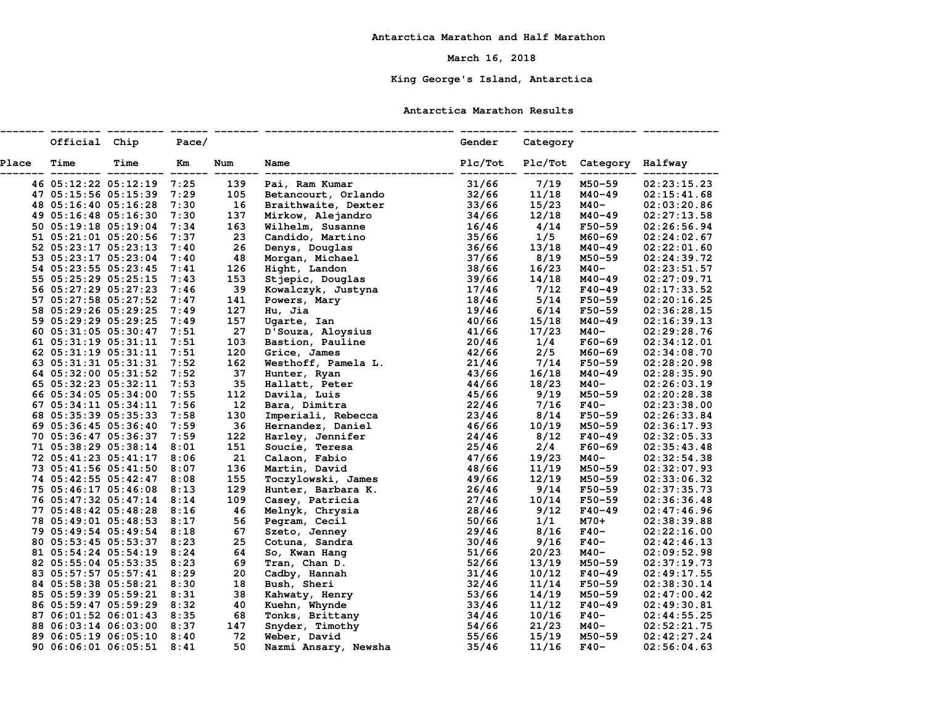## **March 16, 2018**

# **King George's Island, Antarctica**

#### **Antarctica Marathon Results**

|              | Official Chip        |                           | Pace/ |     |                                    | Gender  | Category |                          |             |
|--------------|----------------------|---------------------------|-------|-----|------------------------------------|---------|----------|--------------------------|-------------|
| <b>Place</b> | Time                 | Time                      | Km    | Num | Name                               | Plc/Tot |          | Plc/Tot Category Halfway |             |
|              |                      | 46 05:12:22 05:12:19 7:25 |       | 139 | Pai, Ram Kumar                     | 31/66   | 7/19     | M50-59                   | 02:23:15.23 |
|              | 47 05:15:56 05:15:39 |                           | 7:29  | 105 | Betancourt, Orlando                | 32/66   | 11/18    | M40-49                   | 02:15:41.68 |
|              | 48 05:16:40 05:16:28 |                           | 7:30  | 16  | Braithwaite, Dexter                | 33/66   | 15/23    | M40-                     | 02:03:20.86 |
|              |                      | 49 05:16:48 05:16:30 7:30 |       | 137 | Mirkow, Alejandro                  | 34/66   | 12/18    | $M40 - 49$               | 02:27:13.58 |
|              |                      | 50 05:19:18 05:19:04 7:34 |       | 163 | Wilhelm, Susanne                   | 16/46   | 4/14     | $F50 - 59$               | 02:26:56.94 |
|              | 51 05:21:01 05:20:56 |                           | 7:37  | 23  | Candido, Martino                   | 35/66   | 1/5      | M60-69                   | 02:24:02.67 |
|              | 52 05:23:17 05:23:13 |                           | 7:40  | 26  | Denys, Douglas                     | 36/66   | 13/18    | M40-49                   | 02:22:01.60 |
|              |                      | 53 05:23:17 05:23:04 7:40 |       | 48  | Morgan, Michael                    | 37/66   | 8/19     | M50-59                   | 02:24:39.72 |
|              | 54 05:23:55 05:23:45 |                           | 7:41  | 126 | Hight, Landon                      | 38/66   | 16/23    | M40-                     | 02:23:51.57 |
|              | 55 05:25:29 05:25:15 |                           | 7:43  | 153 | Stjepic, Douglas                   | 39/66   | 14/18    | M40-49                   | 02:27:09.71 |
|              | 56 05:27:29 05:27:23 |                           | 7:46  | 39  |                                    | 17/46   | 7/12     | $F40 - 49$               | 02:17:33.52 |
|              | 57 05:27:58 05:27:52 |                           | 7:47  | 141 | Kowalczyk, Justyna<br>Powers, Mary | 18/46   | 5/14     | $F50 - 59$               | 02:20:16.25 |
|              | 58 05:29:26 05:29:25 |                           | 7:49  | 127 | Hu, Jia                            | 19/46   | 6/14     | $F50 - 59$               | 02:36:28.15 |
|              | 59 05:29:29 05:29:25 |                           | 7:49  | 157 | Ugarte, Ian                        | 40/66   | 15/18    | $M40 - 49$               | 02:16:39.13 |
|              |                      | 60 05:31:05 05:30:47 7:51 |       | 27  | D'Souza, Aloysius                  | 41/66   | 17/23    | M40-                     | 02:29:28.76 |
|              |                      | 61 05:31:19 05:31:11 7:51 |       | 103 | Bastion, Pauline                   | 20/46   | 1/4      | $F60 - 69$               | 02:34:12.01 |
|              | 62 05:31:19 05:31:11 |                           | 7:51  | 120 | Grice, James                       | 42/66   | 2/5      | M60-69                   | 02:34:08.70 |
|              | 63 05:31:31 05:31:31 |                           | 7:52  | 162 | Westhoff, Pamela L.                | 21/46   | 7/14     | $F50 - 59$               | 02:28:20.98 |
|              | 64 05:32:00 05:31:52 |                           | 7:52  | 37  | Hunter, Ryan                       | 43/66   | 16/18    | M40-49                   | 02:28:35.90 |
|              |                      | 65 05:32:23 05:32:11 7:53 |       | 35  | Hallatt, Peter                     | 44/66   | 18/23    | M40-                     | 02:26:03.19 |
|              | 66 05:34:05 05:34:00 |                           | 7:55  | 112 | Davila, Luis                       | 45/66   | 9/19     | M50-59                   | 02:20:28.38 |
|              |                      | 67 05:34:11 05:34:11 7:56 |       | 12  | Bara, Dimitra                      | 22/46   | 7/16     | $F40-$                   | 02:23:38.00 |
|              | 68 05:35:39 05:35:33 |                           | 7:58  | 130 | Imperiali, Rebecca                 | 23/46   | 8/14     | $F50 - 59$               | 02:26:33.84 |
|              | 69 05:36:45 05:36:40 |                           | 7:59  | 36  | Hernandez, Daniel                  | 46/66   | 10/19    | M50-59                   | 02:36:17.93 |
|              | 70 05:36:47 05:36:37 |                           | 7:59  | 122 | Harley, Jennifer                   | 24/46   | 8/12     | $F40 - 49$               | 02:32:05.33 |
|              |                      | 71 05:38:29 05:38:14 8:01 |       | 151 | Soucie, Teresa                     | 25/46   | 2/4      | $F60 - 69$               | 02:35:43.48 |
|              |                      | 72 05:41:23 05:41:17 8:06 |       | 21  | Calaon, Fabio                      | 47/66   | 19/23    | M40-                     | 02:32:54.38 |
|              |                      | 73 05:41:56 05:41:50 8:07 |       | 136 | Martin, David                      | 48/66   | 11/19    | M50-59                   | 02:32:07.93 |
|              |                      | 74 05:42:55 05:42:47 8:08 |       | 155 | Toczylowski, James                 | 49/66   | 12/19    | M50-59                   | 02:33:06.32 |
|              |                      | 75 05:46:17 05:46:08 8:13 |       | 129 | Hunter, Barbara K.                 | 26/46   | 9/14     | $F50 - 59$               | 02:37:35.73 |
|              |                      | 76 05:47:32 05:47:14 8:14 |       | 109 | Casey, Patricia                    | 27/46   | 10/14    | $F50 - 59$               | 02:36:36.48 |
|              |                      | 77 05:48:42 05:48:28 8:16 |       | 46  | Melnyk, Chrysia                    | 28/46   | 9/12     | $F40 - 49$               | 02:47:46.96 |
|              |                      | 78 05:49:01 05:48:53 8:17 |       | 56  | Pegram, Cecil                      | 50/66   | 1/1      | M70+                     | 02:38:39.88 |
|              |                      | 79 05:49:54 05:49:54 8:18 |       | 67  | Szeto, Jenney                      | 29/46   | 8/16     | $F40-$                   | 02:22:16.00 |
|              |                      | 80 05:53:45 05:53:37 8:23 |       | 25  | Cotuna, Sandra                     | 30/46   | 9/16     | $F40-$                   | 02:42:46.13 |
|              |                      | 81 05:54:24 05:54:19 8:24 |       | 64  | So, Kwan Hang                      | 51/66   | 20/23    | M40-                     | 02:09:52.98 |
|              |                      | 82 05:55:04 05:53:35 8:23 |       | 69  | Tran, Chan D.                      | 52/66   | 13/19    | M50-59                   | 02:37:19.73 |
|              |                      | 83 05:57:57 05:57:41 8:29 |       | 20  | Cadby, Hannah                      | 31/46   | 10/12    | $F40 - 49$               | 02:49:17.55 |
|              |                      | 84 05:58:38 05:58:21 8:30 |       | 18  | Bush, Sheri                        | 32/46   | 11/14    | $F50 - 59$               | 02:38:30.14 |
|              |                      | 85 05:59:39 05:59:21 8:31 |       | 38  | Kahwaty, Henry                     | 53/66   | 14/19    | M50-59                   | 02:47:00.42 |
|              |                      | 86 05:59:47 05:59:29 8:32 |       | 40  | Kuehn, Whynde                      | 33/46   | 11/12    | $F40 - 49$               | 02:49:30.81 |
|              |                      | 87 06:01:52 06:01:43 8:35 |       | 68  | Tonks, Brittany                    | 34/46   | 10/16    | F40-                     | 02:44:55.25 |
|              |                      | 88 06:03:14 06:03:00 8:37 |       | 147 | Snyder, Timothy                    | 54/66   | 21/23    | M40-                     | 02:52:21.75 |
|              |                      | 89 06:05:19 06:05:10 8:40 |       | 72  | Weber, David                       | 55/66   | 15/19    | M50-59                   | 02:42:27.24 |
|              |                      | 90 06:06:01 06:05:51 8:41 |       | 50  | Nazmi Ansary, Newsha               | 35/46   | 11/16    | F40-                     | 02:56:04.63 |